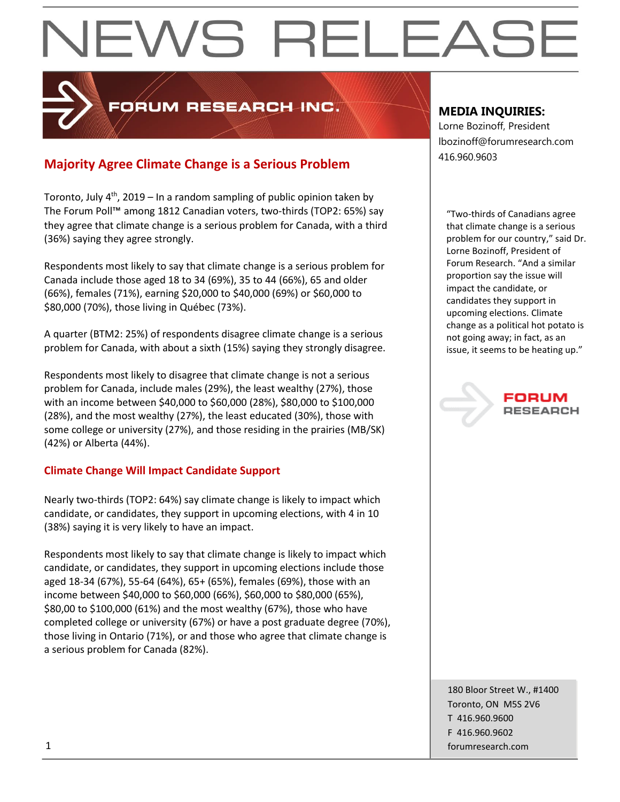## PRUM RESEARCH INC.

## 416.960.9603 **Majority Agree Climate Change is a Serious Problem**

Toronto, July 4<sup>th</sup>, 2019 – In a random sampling of public opinion taken by The Forum Poll™ among 1812 Canadian voters, two-thirds (TOP2: 65%) say they agree that climate change is a serious problem for Canada, with a third (36%) saying they agree strongly.

Respondents most likely to say that climate change is a serious problem for Canada include those aged 18 to 34 (69%), 35 to 44 (66%), 65 and older (66%), females (71%), earning \$20,000 to \$40,000 (69%) or \$60,000 to \$80,000 (70%), those living in Québec (73%).

A quarter (BTM2: 25%) of respondents disagree climate change is a serious problem for Canada, with about a sixth (15%) saying they strongly disagree.

Respondents most likely to disagree that climate change is not a serious problem for Canada, include males (29%), the least wealthy (27%), those with an income between \$40,000 to \$60,000 (28%), \$80,000 to \$100,000 (28%), and the most wealthy (27%), the least educated (30%), those with some college or university (27%), and those residing in the prairies (MB/SK) (42%) or Alberta (44%).

## **Climate Change Will Impact Candidate Support**

Nearly two-thirds (TOP2: 64%) say climate change is likely to impact which candidate, or candidates, they support in upcoming elections, with 4 in 10 (38%) saying it is very likely to have an impact.

Respondents most likely to say that climate change is likely to impact which candidate, or candidates, they support in upcoming elections include those aged 18-34 (67%), 55-64 (64%), 65+ (65%), females (69%), those with an income between \$40,000 to \$60,000 (66%), \$60,000 to \$80,000 (65%), \$80,00 to \$100,000 (61%) and the most wealthy (67%), those who have completed college or university (67%) or have a post graduate degree (70%), those living in Ontario (71%), or and those who agree that climate change is a serious problem for Canada (82%).

## **MEDIA INQUIRIES:**

Lorne Bozinoff, President lbozinoff@forumresearch.com

"Two-thirds of Canadians agree that climate change is a serious problem for our country," said Dr. Lorne Bozinoff, President of Forum Research. "And a similar proportion say the issue will impact the candidate, or candidates they support in upcoming elections. Climate change as a political hot potato is not going away; in fact, as an issue, it seems to be heating up."



180 Bloor Street W., #1400 Toronto, ON M5S 2V6 T 416.960.9600 F 416.960.9602 1 forumresearch.com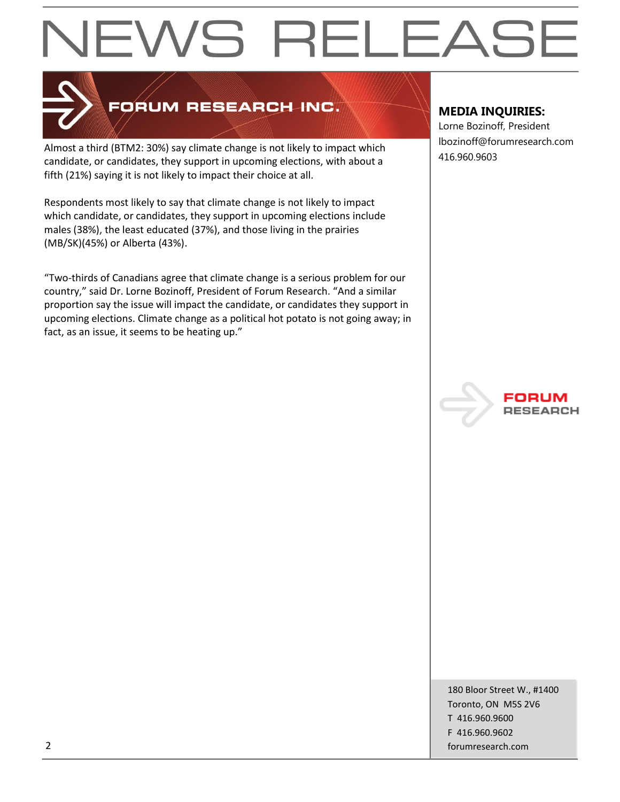

## FORUM RESEARCH INC.

Almost a third (BTM2: 30%) say climate change is not likely to impact which candidate, or candidates, they support in upcoming elections, with about a fifth (21%) saying it is not likely to impact their choice at all.

Respondents most likely to say that climate change is not likely to impact which candidate, or candidates, they support in upcoming elections include males (38%), the least educated (37%), and those living in the prairies (MB/SK)(45%) or Alberta (43%).

"Two-thirds of Canadians agree that climate change is a serious problem for our country," said Dr. Lorne Bozinoff, President of Forum Research. "And a similar proportion say the issue will impact the candidate, or candidates they support in upcoming elections. Climate change as a political hot potato is not going away; in fact, as an issue, it seems to be heating up."

## **MEDIA INQUIRIES:**

Lorne Bozinoff, President lbozinoff@forumresearch.com 416.960.9603



180 Bloor Street W., #1400 Toronto, ON M5S 2V6 T 416.960.9600 F 416.960.9602 2 forumresearch.com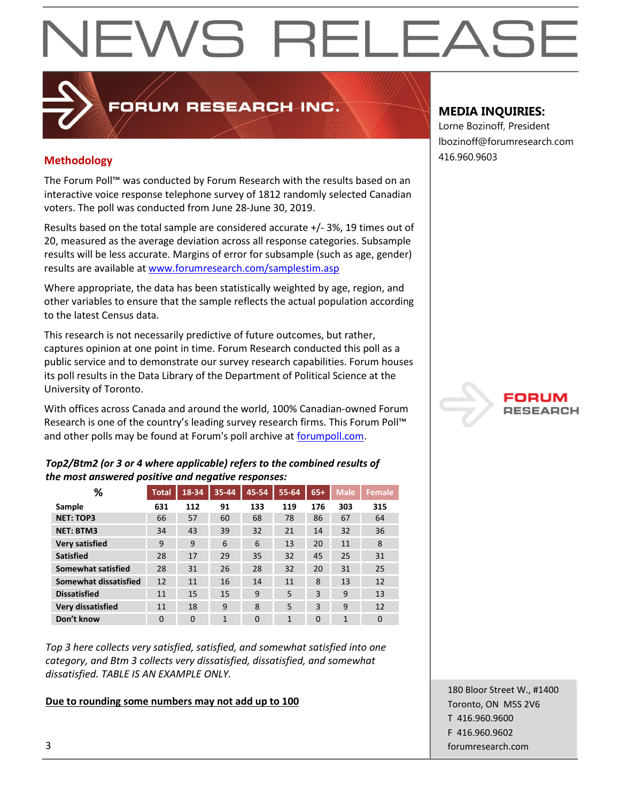## **Methodology** 416.960.9603

The Forum Poll™ was conducted by Forum Research with the results based on an interactive voice response telephone survey of 1812 randomly selected Canadian voters. The poll was conducted from June 28-June 30, 2019.

**PORUM RESEARCH INC.** 

Results based on the total sample are considered accurate +/- 3%, 19 times out of 20, measured as the average deviation across all response categories. Subsample results will be less accurate. Margins of error for subsample (such as age, gender) results are available a[t www.forumresearch.com/samplestim.asp](http://www.forumresearch.com/samplestim.asp)

Where appropriate, the data has been statistically weighted by age, region, and other variables to ensure that the sample reflects the actual population according to the latest Census data.

This research is not necessarily predictive of future outcomes, but rather, captures opinion at one point in time. Forum Research conducted this poll as a public service and to demonstrate our survey research capabilities. Forum houses its poll results in the Data Library of the Department of Political Science at the University of Toronto.

With offices across Canada and around the world, 100% Canadian-owned Forum Research is one of the country's leading survey research firms. This Forum Poll™ and other polls may be found at Forum's poll archive at [forumpoll.com.](file:///C:/Users/gmilakovic/Dropbox/Forum%20Poll%20Temporary/2017/November/TO/Releases/forumpoll.com)

### *Top2/Btm2 (or 3 or 4 where applicable) refers to the combined results of the most answered positive and negative responses:*

| %                         | <b>Total</b> | 18-34    | 35-44          | 45-54    | 55-64 | $65+$    | <b>Male</b> | <b>Female</b> |
|---------------------------|--------------|----------|----------------|----------|-------|----------|-------------|---------------|
| Sample                    | 631          | 112      | 91             | 133      | 119   | 176      | 303         | 315           |
| <b>NET: TOP3</b>          | 66           | 57       | 60             | 68       | 78    | 86       | 67          | 64            |
| <b>NET: BTM3</b>          | 34           | 43       | 39             | 32       | 21    | 14       | 32          | 36            |
| <b>Very satisfied</b>     | 9            | 9        | 6              | 6        | 13    | 20       | 11          | 8             |
| <b>Satisfied</b>          | 28           | 17       | 29             | 35       | 32    | 45       | 25          | 31            |
| <b>Somewhat satisfied</b> | 28           | 31       | 26             | 28       | 32    | 20       | 31          | 25            |
| Somewhat dissatisfied     | 12           | 11       | 16             | 14       | 11    | 8        | 13          | 12            |
| <b>Dissatisfied</b>       | 11           | 15       | 15             | 9        | 5     | 3        | 9           | 13            |
| <b>Very dissatisfied</b>  | 11           | 18       | 9              | 8        | 5     | 3        | 9           | 12            |
| Don't know                | $\Omega$     | $\Omega$ | $\overline{1}$ | $\Omega$ | 1     | $\Omega$ | 1           | $\Omega$      |

*Top 3 here collects very satisfied, satisfied, and somewhat satisfied into one category, and Btm 3 collects very dissatisfied, dissatisfied, and somewhat dissatisfied. TABLE IS AN EXAMPLE ONLY.*

### **Due to rounding some numbers may not add up to 100**

## **MEDIA INQUIRIES:**

Lorne Bozinoff, President lbozinoff@forumresearch.com



180 Bloor Street W., #1400 Toronto, ON M5S 2V6 T 416.960.9600 F 416.960.9602 3 forumresearch.com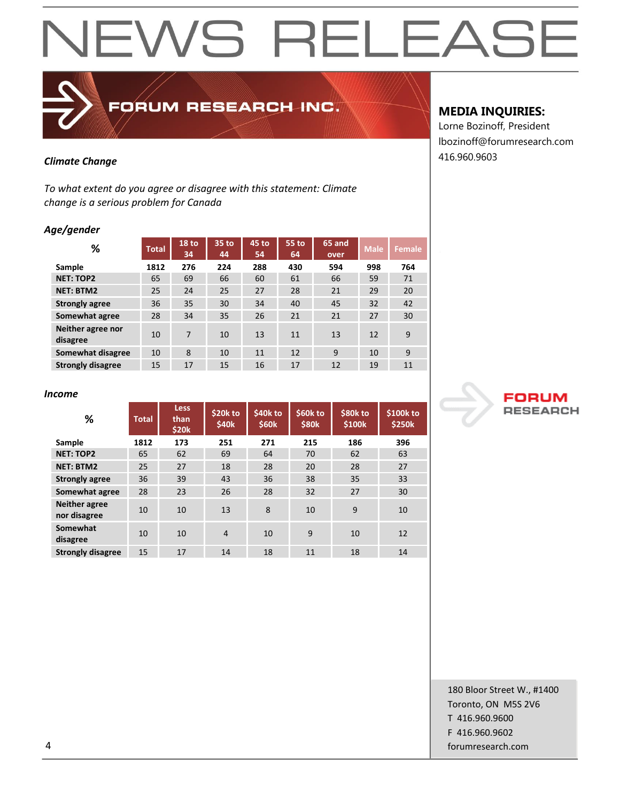

## FORUM RESEARCH INC.

*To what extent do you agree or disagree with this statement: Climate change is a serious problem for Canada*

### *Age/gender*

| %                             | <b>Total</b> | $18$ to<br>34 | $35$ to<br>44 | 45 to<br>54 | 55 to<br>64 | 65 and<br>over | <b>Male</b> | Female |
|-------------------------------|--------------|---------------|---------------|-------------|-------------|----------------|-------------|--------|
| Sample                        | 1812         | 276           | 224           | 288         | 430         | 594            | 998         | 764    |
| <b>NET: TOP2</b>              | 65           | 69            | 66            | 60          | 61          | 66             | 59          | 71     |
| <b>NET: BTM2</b>              | 25           | 24            | 25            | 27          | 28          | 21             | 29          | 20     |
| <b>Strongly agree</b>         | 36           | 35            | 30            | 34          | 40          | 45             | 32          | 42     |
| Somewhat agree                | 28           | 34            | 35            | 26          | 21          | 21             | 27          | 30     |
| Neither agree nor<br>disagree | 10           | 7             | 10            | 13          | 11          | 13             | 12          | 9      |
| Somewhat disagree             | 10           | 8             | 10            | 11          | 12          | 9              | 10          | 9      |
| <b>Strongly disagree</b>      | 15           | 17            | 15            | 16          | 17          | 12             | 19          | 11     |

### *Income*

| %                                    | <b>Total</b> | <b>Less</b><br>than<br>\$20k | \$20k to<br>\$40 <sub>k</sub> | \$40k to<br><b>\$60k</b> | \$60k to<br><b>\$80k</b> | \$80k to<br>\$100 <sub>k</sub> | \$100k to<br><b>\$250k</b> |
|--------------------------------------|--------------|------------------------------|-------------------------------|--------------------------|--------------------------|--------------------------------|----------------------------|
| Sample                               | 1812         | 173                          | 251                           | 271                      | 215                      | 186                            | 396                        |
| <b>NET: TOP2</b>                     | 65           | 62                           | 69                            | 64                       | 70                       | 62                             | 63                         |
| <b>NET: BTM2</b>                     | 25           | 27                           | 18                            | 28                       | 20                       | 28                             | 27                         |
| <b>Strongly agree</b>                | 36           | 39                           | 43                            | 36                       | 38                       | 35                             | 33                         |
| Somewhat agree                       | 28           | 23                           | 26                            | 28                       | 32                       | 27                             | 30                         |
| <b>Neither agree</b><br>nor disagree | 10           | 10                           | 13                            | 8                        | 10                       | 9                              | 10                         |
| Somewhat<br>disagree                 | 10           | 10                           | $\overline{4}$                | 10                       | 9                        | 10                             | 12                         |
| <b>Strongly disagree</b>             | 15           | 17                           | 14                            | 18                       | 11                       | 18                             | 14                         |

## **MEDIA INQUIRIES:**

Lorne Bozinoff, President lbozinoff@forumresearch.com 416.960.9603 *Climate Change*



180 Bloor Street W., #1400 Toronto, ON M5S 2V6 T 416.960.9600 F 416.960.9602 4 forumresearch.com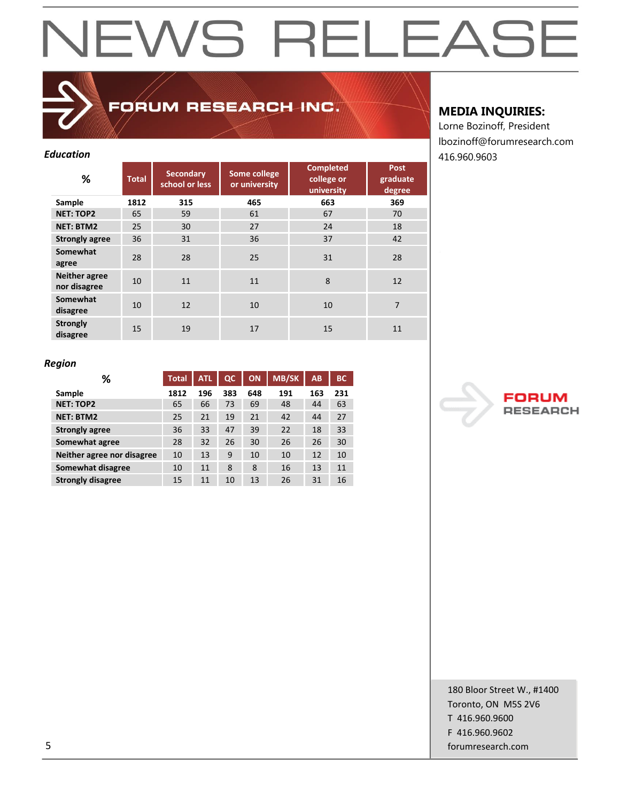## FORUM RESEARCH INC.

| <b>Education</b>                     |              |                                    |                               |                                              |                                   |  |  |  |  |
|--------------------------------------|--------------|------------------------------------|-------------------------------|----------------------------------------------|-----------------------------------|--|--|--|--|
| %                                    | <b>Total</b> | <b>Secondary</b><br>school or less | Some college<br>or university | <b>Completed</b><br>college or<br>university | <b>Post</b><br>graduate<br>degree |  |  |  |  |
| Sample                               | 1812         | 315                                | 465                           | 663                                          | 369                               |  |  |  |  |
| <b>NET: TOP2</b>                     | 65           | 59                                 | 61                            | 67                                           | 70                                |  |  |  |  |
| <b>NET: BTM2</b>                     | 25           | 30                                 | 27                            | 24                                           | 18                                |  |  |  |  |
| <b>Strongly agree</b>                | 36           | 31                                 | 36                            | 37                                           | 42                                |  |  |  |  |
| Somewhat<br>agree                    | 28           | 28                                 | 25                            | 31                                           | 28                                |  |  |  |  |
| <b>Neither agree</b><br>nor disagree | 10           | 11                                 | 11                            | 8                                            | 12                                |  |  |  |  |
| Somewhat<br>disagree                 | 10           | 12                                 | 10                            | 10                                           | $\overline{7}$                    |  |  |  |  |
| <b>Strongly</b><br>disagree          | 15           | 19                                 | 17                            | 15                                           | 11                                |  |  |  |  |

## **MEDIA INQUIRIES:**

Lorne Bozinoff, President lbozinoff@forumresearch.com

### *Region*

| %                          | <b>Total</b> | <b>ATL</b> | $_{\alpha}$ | ON  | <b>MB/SK</b> | AB  | <b>BC</b> |
|----------------------------|--------------|------------|-------------|-----|--------------|-----|-----------|
| Sample                     | 1812         | 196        | 383         | 648 | 191          | 163 | 231       |
| <b>NET: TOP2</b>           | 65           | 66         | 73          | 69  | 48           | 44  | 63        |
| <b>NET: BTM2</b>           | 25           | 21         | 19          | 21  | 42           | 44  | 27        |
| <b>Strongly agree</b>      | 36           | 33         | 47          | 39  | 22           | 18  | 33        |
| Somewhat agree             | 28           | 32         | 26          | 30  | 26           | 26  | 30        |
| Neither agree nor disagree | 10           | 13         | 9           | 10  | 10           | 12  | 10        |
| Somewhat disagree          | 10           | 11         | 8           | 8   | 16           | 13  | 11        |
| <b>Strongly disagree</b>   | 15           | 11         | 10          | 13  | 26           | 31  | 16        |

**RESEA** эΗ

180 Bloor Street W., #1400 Toronto, ON M5S 2V6 T 416.960.9600 F 416.960.9602 5 forumresearch.com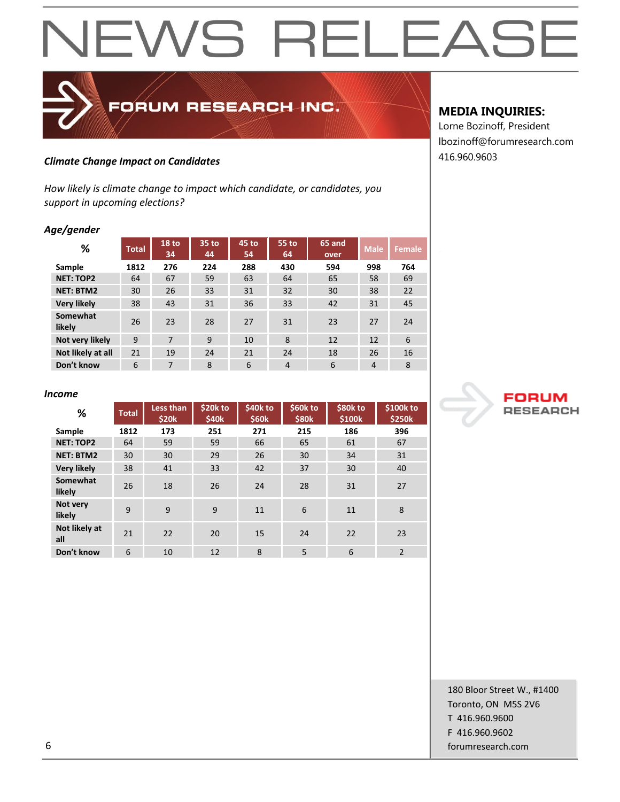## 416.960.9603 *Climate Change Impact on Candidates*

*How likely is climate change to impact which candidate, or candidates, you support in upcoming elections?*

FORUM RESEARCH INC.

### *Age/gender*

| %                  | <b>Total</b> | 18 <sub>to</sub><br>34 | 35 to<br>44 | 45 <sub>to</sub><br>54 | 55 to<br>64    | <b>65 and</b><br>over | <b>Male</b>    | Female <sup>1</sup> |
|--------------------|--------------|------------------------|-------------|------------------------|----------------|-----------------------|----------------|---------------------|
| Sample             | 1812         | 276                    | 224         | 288                    | 430            | 594                   | 998            | 764                 |
| <b>NET: TOP2</b>   | 64           | 67                     | 59          | 63                     | 64             | 65                    | 58             | 69                  |
| <b>NET: BTM2</b>   | 30           | 26                     | 33          | 31                     | 32             | 30                    | 38             | 22                  |
| <b>Very likely</b> | 38           | 43                     | 31          | 36                     | 33             | 42                    | 31             | 45                  |
| Somewhat<br>likely | 26           | 23                     | 28          | 27                     | 31             | 23                    | 27             | 24                  |
| Not very likely    | 9            | 7                      | 9           | 10                     | 8              | 12                    | 12             | 6                   |
| Not likely at all  | 21           | 19                     | 24          | 21                     | 24             | 18                    | 26             | 16                  |
| Don't know         | 6            | $\overline{7}$         | 8           | 6                      | $\overline{4}$ | 6                     | $\overline{4}$ | 8                   |

## **MEDIA INQUIRIES:**

Lorne Bozinoff, President lbozinoff@forumresearch.com



### *Income*

| %                    | <b>Total</b> | Less than<br>\$20k | \$20k to<br>\$40 <sub>k</sub> | \$40k to<br>\$60k | \$60k to<br><b>\$80k</b> | \$80k to<br>\$100k | \$100k to<br>\$250k |
|----------------------|--------------|--------------------|-------------------------------|-------------------|--------------------------|--------------------|---------------------|
| Sample               | 1812         | 173                | 251                           | 271               | 215                      | 186                | 396                 |
| <b>NET: TOP2</b>     | 64           | 59                 | 59                            | 66                | 65                       | 61                 | 67                  |
| <b>NET: BTM2</b>     | 30           | 30                 | 29                            | 26                | 30                       | 34                 | 31                  |
| <b>Very likely</b>   | 38           | 41                 | 33                            | 42                | 37                       | 30                 | 40                  |
| Somewhat<br>likely   | 26           | 18                 | 26                            | 24                | 28                       | 31                 | 27                  |
| Not very<br>likely   | 9            | 9                  | 9                             | 11                | 6                        | 11                 | 8                   |
| Not likely at<br>all | 21           | 22                 | 20                            | 15                | 24                       | 22                 | 23                  |
| Don't know           | 6            | 10                 | 12                            | 8                 | 5                        | 6                  | $\overline{2}$      |

180 Bloor Street W., #1400 Toronto, ON M5S 2V6 T 416.960.9600 F 416.960.9602 6 forumresearch.com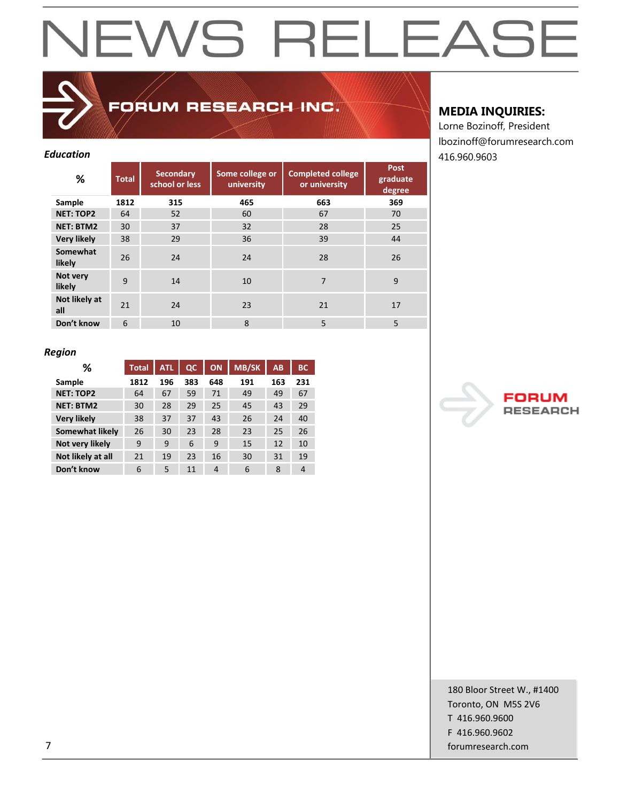## FORUM RESEARCH INC.

| %                    | <b>Total</b> | <b>Secondary</b><br>school or less | Some college or<br>university | <b>Completed college</b><br>or university | Post<br>graduate<br>degree |
|----------------------|--------------|------------------------------------|-------------------------------|-------------------------------------------|----------------------------|
| Sample               | 1812         | 315                                | 465                           | 663                                       | 369                        |
| <b>NET: TOP2</b>     | 64           | 52                                 | 60                            | 67                                        | 70                         |
| <b>NET: BTM2</b>     | 30           | 37                                 | 32                            | 28                                        | 25                         |
| <b>Very likely</b>   | 38           | 29                                 | 36                            | 39                                        | 44                         |
| Somewhat<br>likely   | 26           | 24                                 | 24                            | 28                                        | 26                         |
| Not very<br>likely   | 9            | 14                                 | 10                            | $\overline{7}$                            | 9                          |
| Not likely at<br>all | 21           | 24                                 | 23                            | 21                                        | 17                         |
| Don't know           | 6            | 10                                 | 8                             | 5                                         | 5                          |

## **MEDIA INQUIRIES:**

Lorne Bozinoff, President lbozinoff@forumresearch.com *Education* 416.960.9603

## *Region*

| ℅                  | <b>Total</b> | <b>ATL</b> | $_{\alpha}$ | <b>ON</b>      | <b>MB/SK</b> | AB  | <b>BC</b>      |
|--------------------|--------------|------------|-------------|----------------|--------------|-----|----------------|
| Sample             | 1812         | 196        | 383         | 648            | 191          | 163 | 231            |
| <b>NET: TOP2</b>   | 64           | 67         | 59          | 71             | 49           | 49  | 67             |
| <b>NET: BTM2</b>   | 30           | 28         | 29          | 25             | 45           | 43  | 29             |
| <b>Very likely</b> | 38           | 37         | 37          | 43             | 26           | 24  | 40             |
| Somewhat likely    | 26           | 30         | 23          | 28             | 23           | 25  | 26             |
| Not very likely    | 9            | 9          | 6           | 9              | 15           | 12  | 10             |
| Not likely at all  | 21           | 19         | 23          | 16             | 30           | 31  | 19             |
| Don't know         | 6            | 5          | 11          | $\overline{4}$ | 6            | 8   | $\overline{4}$ |

**RESEAR** cн

180 Bloor Street W., #1400 Toronto, ON M5S 2V6 T 416.960.9600 F 416.960.9602 7 forumresearch.com